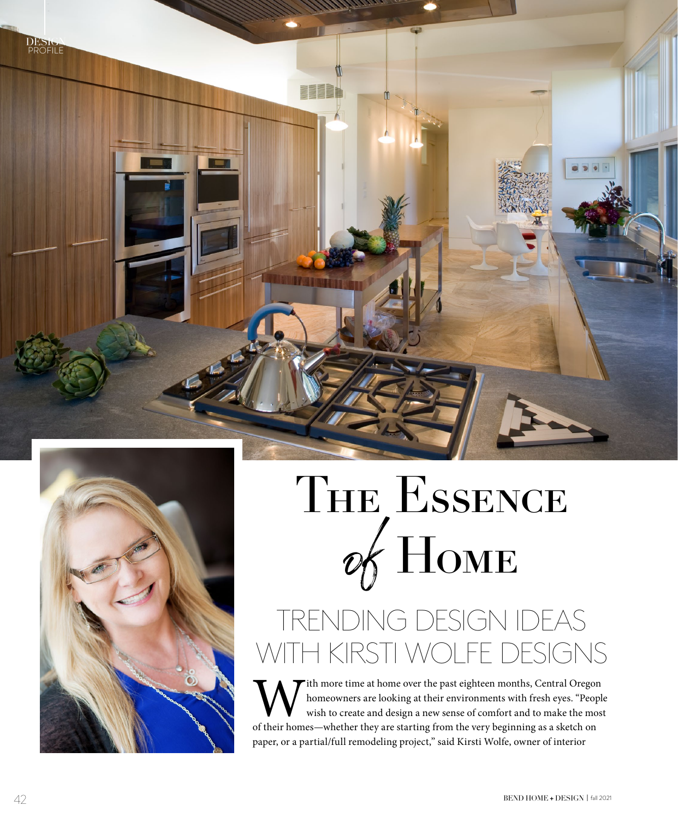

 $\mathbf{m}$ 

## THE ESSENCE of Home

## TRENDING DESIGN IDEAS WITH KIRSTI WOLFE DESIGNS

 $\blacktriangleright$  ith more time at home over the past eighteen months, Central Oregon homeowners are looking at their environments with fresh eyes. "People wish to create and design a new sense of comfort and to make the most of their homes—whether they are starting from the very beginning as a sketch on paper, or a partial/full remodeling project," said Kirsti Wolfe, owner of interior

DESIGNER<br>PROFILE